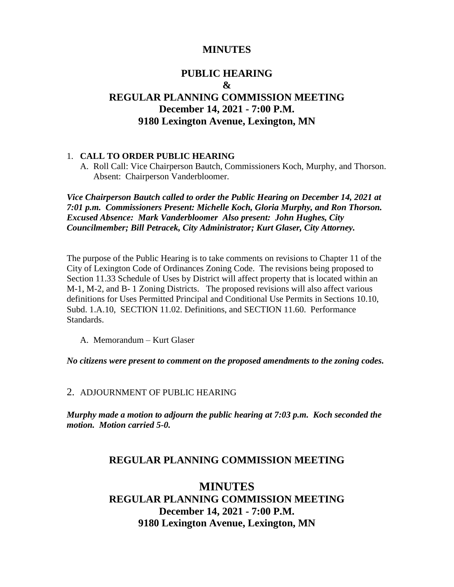## **MINUTES**

# **PUBLIC HEARING & REGULAR PLANNING COMMISSION MEETING December 14, 2021 - 7:00 P.M. 9180 Lexington Avenue, Lexington, MN**

### 1. **CALL TO ORDER PUBLIC HEARING**

A. Roll Call: Vice Chairperson Bautch, Commissioners Koch, Murphy, and Thorson. Absent: Chairperson Vanderbloomer.

*Vice Chairperson Bautch called to order the Public Hearing on December 14, 2021 at 7:01 p.m. Commissioners Present: Michelle Koch, Gloria Murphy, and Ron Thorson. Excused Absence: Mark Vanderbloomer Also present: John Hughes, City Councilmember; Bill Petracek, City Administrator; Kurt Glaser, City Attorney.*

The purpose of the Public Hearing is to take comments on revisions to Chapter 11 of the City of Lexington Code of Ordinances Zoning Code. The revisions being proposed to Section 11.33 Schedule of Uses by District will affect property that is located within an M-1, M-2, and B- 1 Zoning Districts. The proposed revisions will also affect various definitions for Uses Permitted Principal and Conditional Use Permits in Sections 10.10, Subd. 1.A.10, SECTION 11.02. Definitions, and SECTION 11.60. Performance Standards.

A. Memorandum – Kurt Glaser

*No citizens were present to comment on the proposed amendments to the zoning codes.*

#### 2. ADJOURNMENT OF PUBLIC HEARING

*Murphy made a motion to adjourn the public hearing at 7:03 p.m. Koch seconded the motion. Motion carried 5-0.*

### **REGULAR PLANNING COMMISSION MEETING**

# **MINUTES REGULAR PLANNING COMMISSION MEETING December 14, 2021 - 7:00 P.M. 9180 Lexington Avenue, Lexington, MN**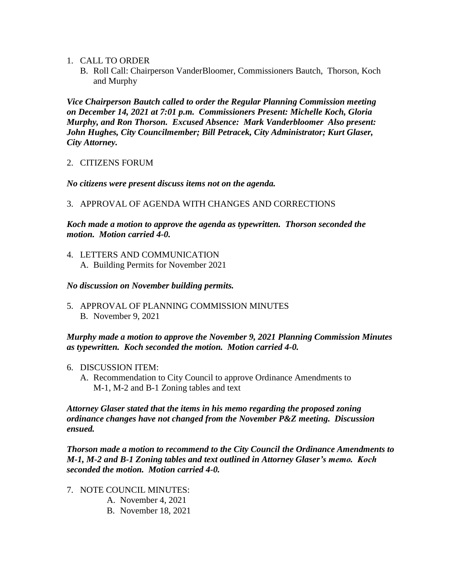- 1. CALL TO ORDER
	- B. Roll Call: Chairperson VanderBloomer, Commissioners Bautch, Thorson, Koch and Murphy

*Vice Chairperson Bautch called to order the Regular Planning Commission meeting on December 14, 2021 at 7:01 p.m. Commissioners Present: Michelle Koch, Gloria Murphy, and Ron Thorson. Excused Absence: Mark Vanderbloomer Also present: John Hughes, City Councilmember; Bill Petracek, City Administrator; Kurt Glaser, City Attorney.*

2. CITIZENS FORUM

*No citizens were present discuss items not on the agenda.*

3. APPROVAL OF AGENDA WITH CHANGES AND CORRECTIONS

*Koch made a motion to approve the agenda as typewritten. Thorson seconded the motion. Motion carried 4-0.*

4. LETTERS AND COMMUNICATION A. Building Permits for November 2021

### *No discussion on November building permits.*

5. APPROVAL OF PLANNING COMMISSION MINUTES B. November 9, 2021

## *Murphy made a motion to approve the November 9, 2021 Planning Commission Minutes as typewritten. Koch seconded the motion. Motion carried 4-0.*

- 6. DISCUSSION ITEM:
	- A. Recommendation to City Council to approve Ordinance Amendments to M-1, M-2 and B-1 Zoning tables and text

*Attorney Glaser stated that the items in his memo regarding the proposed zoning ordinance changes have not changed from the November P&Z meeting. Discussion ensued.* 

*Thorson made a motion to recommend to the City Council the Ordinance Amendments to M-1, M-2 and B-1 Zoning tables and text outlined in Attorney Glaser's memo. Koch seconded the motion. Motion carried 4-0.*

- 7. NOTE COUNCIL MINUTES:
	- A. November 4, 2021
	- B. November 18, 2021